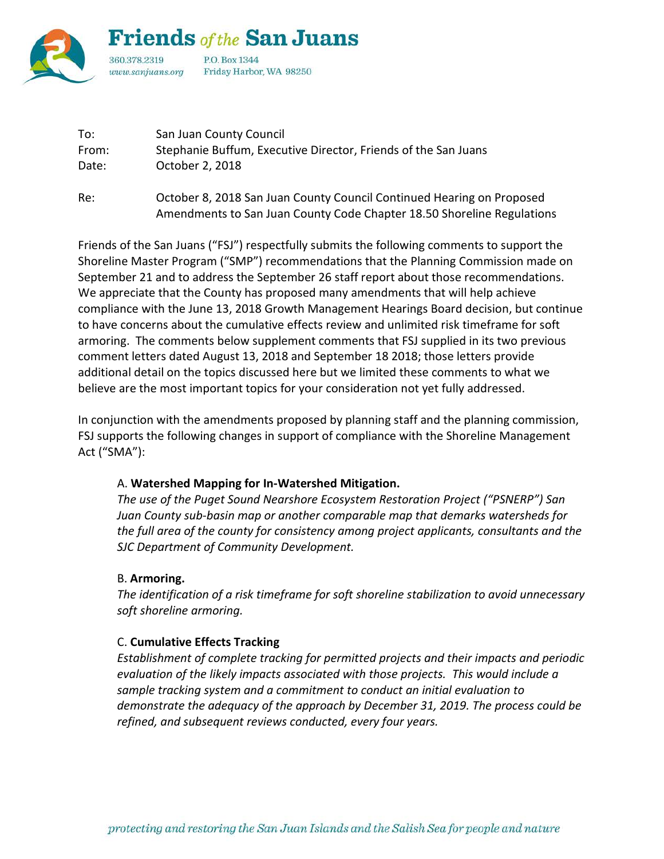

| San Juan County Council                                        |
|----------------------------------------------------------------|
| Stephanie Buffum, Executive Director, Friends of the San Juans |
| October 2, 2018                                                |
|                                                                |

Re: October 8, 2018 San Juan County Council Continued Hearing on Proposed Amendments to San Juan County Code Chapter 18.50 Shoreline Regulations

Friends of the San Juans ("FSJ") respectfully submits the following comments to support the Shoreline Master Program ("SMP") recommendations that the Planning Commission made on September 21 and to address the September 26 staff report about those recommendations. We appreciate that the County has proposed many amendments that will help achieve compliance with the June 13, 2018 Growth Management Hearings Board decision, but continue to have concerns about the cumulative effects review and unlimited risk timeframe for soft armoring. The comments below supplement comments that FSJ supplied in its two previous comment letters dated August 13, 2018 and September 18 2018; those letters provide additional detail on the topics discussed here but we limited these comments to what we believe are the most important topics for your consideration not yet fully addressed.

In conjunction with the amendments proposed by planning staff and the planning commission, FSJ supports the following changes in support of compliance with the Shoreline Management Act ("SMA"):

#### A. **Watershed Mapping for In-Watershed Mitigation.**

*The use of the Puget Sound Nearshore Ecosystem Restoration Project ("PSNERP") San Juan County sub-basin map or another comparable map that demarks watersheds for the full area of the county for consistency among project applicants, consultants and the SJC Department of Community Development.*

## B. **Armoring.**

*The identification of a risk timeframe for soft shoreline stabilization to avoid unnecessary soft shoreline armoring.*

#### C. **Cumulative Effects Tracking**

*Establishment of complete tracking for permitted projects and their impacts and periodic evaluation of the likely impacts associated with those projects. This would include a sample tracking system and a commitment to conduct an initial evaluation to demonstrate the adequacy of the approach by December 31, 2019. The process could be refined, and subsequent reviews conducted, every four years.*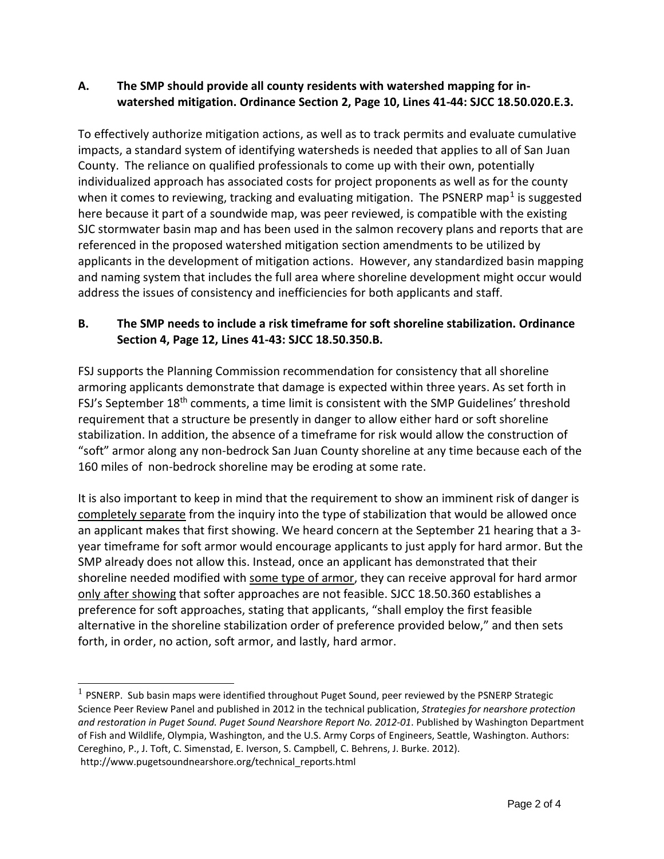## **A. The SMP should provide all county residents with watershed mapping for inwatershed mitigation. Ordinance Section 2, Page 10, Lines 41-44: SJCC 18.50.020.E.3.**

To effectively authorize mitigation actions, as well as to track permits and evaluate cumulative impacts, a standard system of identifying watersheds is needed that applies to all of San Juan County. The reliance on qualified professionals to come up with their own, potentially individualized approach has associated costs for project proponents as well as for the county when it comes to reviewing, tracking and evaluating mitigation. The PSNERP map<sup>[1](#page-1-0)</sup> is suggested here because it part of a soundwide map, was peer reviewed, is compatible with the existing SJC stormwater basin map and has been used in the salmon recovery plans and reports that are referenced in the proposed watershed mitigation section amendments to be utilized by applicants in the development of mitigation actions. However, any standardized basin mapping and naming system that includes the full area where shoreline development might occur would address the issues of consistency and inefficiencies for both applicants and staff.

## **B. The SMP needs to include a risk timeframe for soft shoreline stabilization. Ordinance Section 4, Page 12, Lines 41-43: SJCC 18.50.350.B.**

FSJ supports the Planning Commission recommendation for consistency that all shoreline armoring applicants demonstrate that damage is expected within three years. As set forth in FSJ's September 18<sup>th</sup> comments, a time limit is consistent with the SMP Guidelines' threshold requirement that a structure be presently in danger to allow either hard or soft shoreline stabilization. In addition, the absence of a timeframe for risk would allow the construction of "soft" armor along any non-bedrock San Juan County shoreline at any time because each of the 160 miles of non-bedrock shoreline may be eroding at some rate.

It is also important to keep in mind that the requirement to show an imminent risk of danger is completely separate from the inquiry into the type of stabilization that would be allowed once an applicant makes that first showing. We heard concern at the September 21 hearing that a 3 year timeframe for soft armor would encourage applicants to just apply for hard armor. But the SMP already does not allow this. Instead, once an applicant has demonstrated that their shoreline needed modified with some type of armor, they can receive approval for hard armor only after showing that softer approaches are not feasible. SJCC 18.50.360 establishes a preference for soft approaches, stating that applicants, "shall employ the first feasible alternative in the shoreline stabilization order of preference provided below," and then sets forth, in order, no action, soft armor, and lastly, hard armor.

 $\overline{a}$ 

<span id="page-1-0"></span> $1$  PSNERP. Sub basin maps were identified throughout Puget Sound, peer reviewed by the PSNERP Strategic Science Peer Review Panel and published in 2012 in the technical publication, *Strategies for nearshore protection and restoration in Puget Sound. Puget Sound Nearshore Report No. 2012-01*. Published by Washington Department of Fish and Wildlife, Olympia, Washington, and the U.S. Army Corps of Engineers, Seattle, Washington. Authors: Cereghino, P., J. Toft, C. Simenstad, E. Iverson, S. Campbell, C. Behrens, J. Burke. 2012). http://www.pugetsoundnearshore.org/technical\_reports.html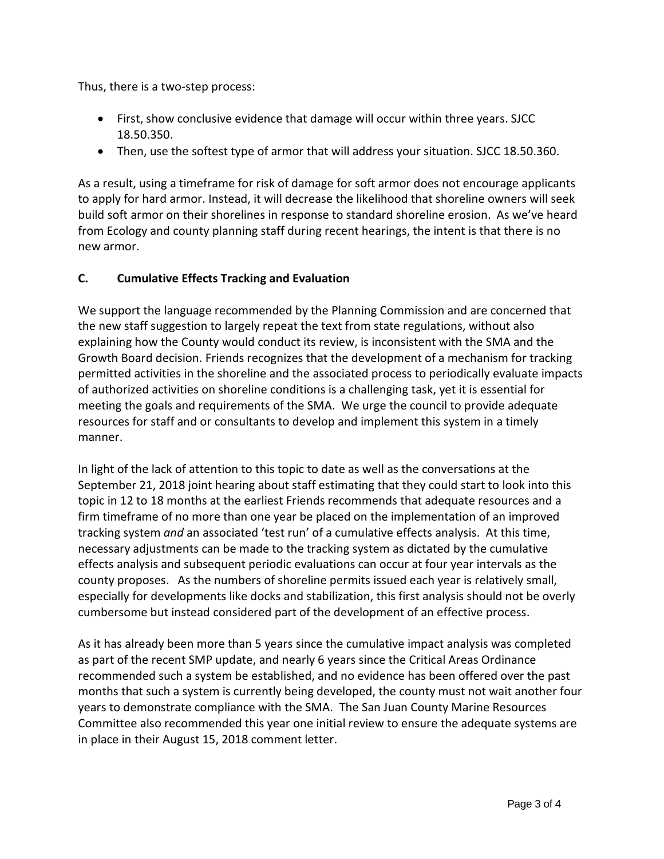Thus, there is a two-step process:

- First, show conclusive evidence that damage will occur within three years. SJCC 18.50.350.
- Then, use the softest type of armor that will address your situation. SJCC 18.50.360.

As a result, using a timeframe for risk of damage for soft armor does not encourage applicants to apply for hard armor. Instead, it will decrease the likelihood that shoreline owners will seek build soft armor on their shorelines in response to standard shoreline erosion. As we've heard from Ecology and county planning staff during recent hearings, the intent is that there is no new armor.

## **C. Cumulative Effects Tracking and Evaluation**

We support the language recommended by the Planning Commission and are concerned that the new staff suggestion to largely repeat the text from state regulations, without also explaining how the County would conduct its review, is inconsistent with the SMA and the Growth Board decision. Friends recognizes that the development of a mechanism for tracking permitted activities in the shoreline and the associated process to periodically evaluate impacts of authorized activities on shoreline conditions is a challenging task, yet it is essential for meeting the goals and requirements of the SMA. We urge the council to provide adequate resources for staff and or consultants to develop and implement this system in a timely manner.

In light of the lack of attention to this topic to date as well as the conversations at the September 21, 2018 joint hearing about staff estimating that they could start to look into this topic in 12 to 18 months at the earliest Friends recommends that adequate resources and a firm timeframe of no more than one year be placed on the implementation of an improved tracking system *and* an associated 'test run' of a cumulative effects analysis. At this time, necessary adjustments can be made to the tracking system as dictated by the cumulative effects analysis and subsequent periodic evaluations can occur at four year intervals as the county proposes. As the numbers of shoreline permits issued each year is relatively small, especially for developments like docks and stabilization, this first analysis should not be overly cumbersome but instead considered part of the development of an effective process.

As it has already been more than 5 years since the cumulative impact analysis was completed as part of the recent SMP update, and nearly 6 years since the Critical Areas Ordinance recommended such a system be established, and no evidence has been offered over the past months that such a system is currently being developed, the county must not wait another four years to demonstrate compliance with the SMA. The San Juan County Marine Resources Committee also recommended this year one initial review to ensure the adequate systems are in place in their August 15, 2018 comment letter.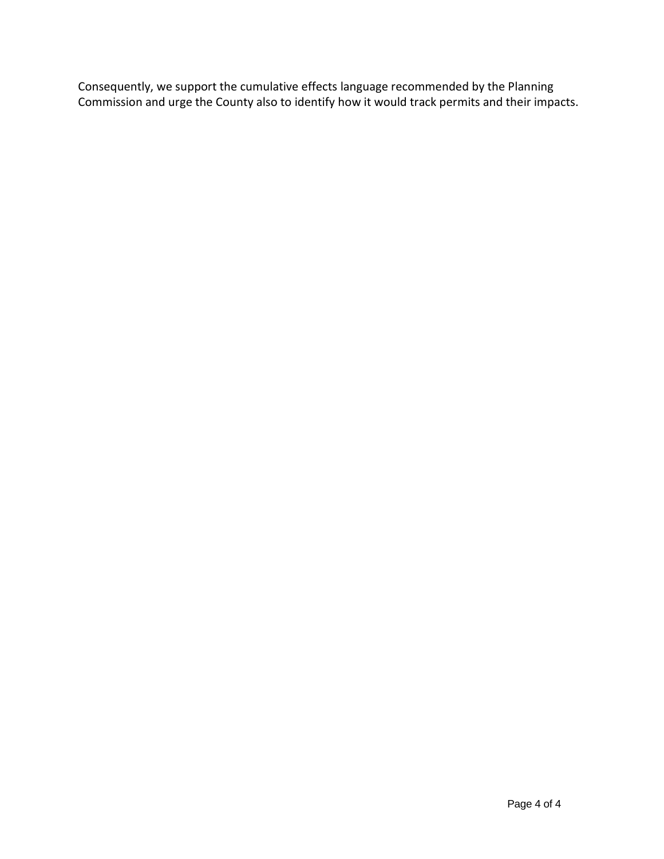Consequently, we support the cumulative effects language recommended by the Planning Commission and urge the County also to identify how it would track permits and their impacts.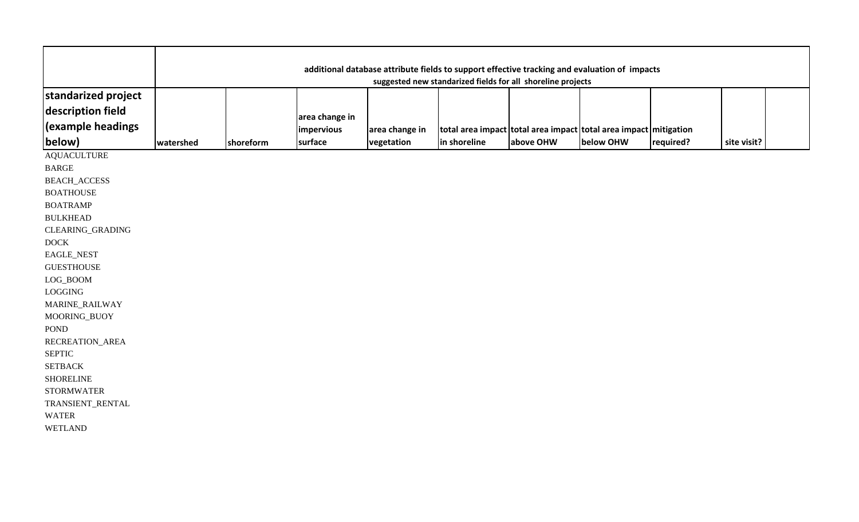|                                          | additional database attribute fields to support effective tracking and evaluation of impacts<br>suggested new standarized fields for all shoreline projects |           |                              |                |                                                                  |           |           |           |             |  |
|------------------------------------------|-------------------------------------------------------------------------------------------------------------------------------------------------------------|-----------|------------------------------|----------------|------------------------------------------------------------------|-----------|-----------|-----------|-------------|--|
| standarized project<br>description field |                                                                                                                                                             |           |                              |                |                                                                  |           |           |           |             |  |
| (example headings                        |                                                                                                                                                             |           | area change in<br>impervious | area change in | total area impact total area impact total area impact mitigation |           |           |           |             |  |
| below)                                   | watershed                                                                                                                                                   | shoreform | surface                      | vegetation     | in shoreline                                                     | above OHW | below OHW | required? | site visit? |  |
| <b>AQUACULTURE</b>                       |                                                                                                                                                             |           |                              |                |                                                                  |           |           |           |             |  |
| <b>BARGE</b>                             |                                                                                                                                                             |           |                              |                |                                                                  |           |           |           |             |  |
| <b>BEACH_ACCESS</b>                      |                                                                                                                                                             |           |                              |                |                                                                  |           |           |           |             |  |
| <b>BOATHOUSE</b>                         |                                                                                                                                                             |           |                              |                |                                                                  |           |           |           |             |  |
| <b>BOATRAMP</b>                          |                                                                                                                                                             |           |                              |                |                                                                  |           |           |           |             |  |
| <b>BULKHEAD</b>                          |                                                                                                                                                             |           |                              |                |                                                                  |           |           |           |             |  |
| CLEARING_GRADING                         |                                                                                                                                                             |           |                              |                |                                                                  |           |           |           |             |  |
| <b>DOCK</b>                              |                                                                                                                                                             |           |                              |                |                                                                  |           |           |           |             |  |
| EAGLE_NEST                               |                                                                                                                                                             |           |                              |                |                                                                  |           |           |           |             |  |
| <b>GUESTHOUSE</b>                        |                                                                                                                                                             |           |                              |                |                                                                  |           |           |           |             |  |
| $LOG_B$ OOM                              |                                                                                                                                                             |           |                              |                |                                                                  |           |           |           |             |  |
| LOGGING                                  |                                                                                                                                                             |           |                              |                |                                                                  |           |           |           |             |  |
| MARINE_RAILWAY                           |                                                                                                                                                             |           |                              |                |                                                                  |           |           |           |             |  |
| MOORING_BUOY                             |                                                                                                                                                             |           |                              |                |                                                                  |           |           |           |             |  |
| <b>POND</b>                              |                                                                                                                                                             |           |                              |                |                                                                  |           |           |           |             |  |
| RECREATION_AREA                          |                                                                                                                                                             |           |                              |                |                                                                  |           |           |           |             |  |
| <b>SEPTIC</b>                            |                                                                                                                                                             |           |                              |                |                                                                  |           |           |           |             |  |
| <b>SETBACK</b>                           |                                                                                                                                                             |           |                              |                |                                                                  |           |           |           |             |  |
| <b>SHORELINE</b>                         |                                                                                                                                                             |           |                              |                |                                                                  |           |           |           |             |  |
| <b>STORMWATER</b>                        |                                                                                                                                                             |           |                              |                |                                                                  |           |           |           |             |  |
| TRANSIENT_RENTAL                         |                                                                                                                                                             |           |                              |                |                                                                  |           |           |           |             |  |
| <b>WATER</b>                             |                                                                                                                                                             |           |                              |                |                                                                  |           |           |           |             |  |
| <b>WETLAND</b>                           |                                                                                                                                                             |           |                              |                |                                                                  |           |           |           |             |  |